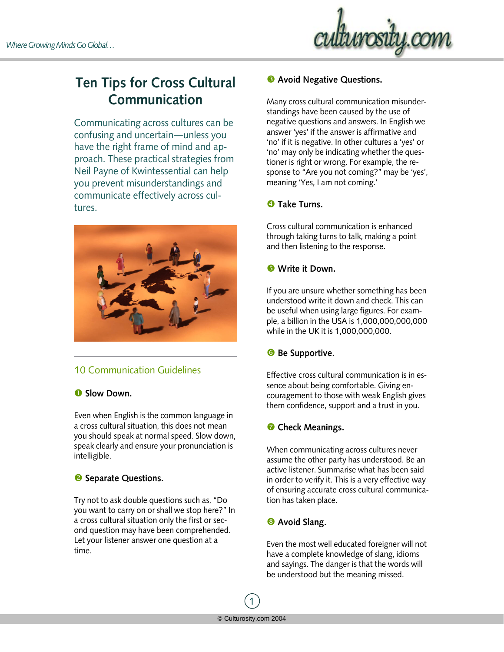

# **Ten Tips for Cross Cultural Communication**

Communicating across cultures can be confusing and uncertain—unless you have the right frame of mind and approach. These practical strategies from Neil Payne of Kwintessential can help you prevent misunderstandings and communicate effectively across cultures.



## 10 Communication Guidelines

### **O** Slow Down.

Even when English is the common language in a cross cultural situation, this does not mean you should speak at normal speed. Slow down, speak clearly and ensure your pronunciation is intelligible.

### <sup>2</sup> Separate Questions.

Try not to ask double questions such as, "Do you want to carry on or shall we stop here?" In a cross cultural situation only the first or second question may have been comprehended. Let your listener answer one question at a time.

#### **8** Avoid Negative Questions.

Many cross cultural communication misunderstandings have been caused by the use of negative questions and answers. In English we answer 'yes' if the answer is affirmative and 'no' if it is negative. In other cultures a 'yes' or 'no' may only be indicating whether the questioner is right or wrong. For example, the response to "Are you not coming?" may be 'yes', meaning 'Yes, I am not coming.'

### **<sup>** $\bullet$ **</sup> Take Turns.**

Cross cultural communication is enhanced through taking turns to talk, making a point and then listening to the response.

### $\bullet$  Write it Down.

If you are unsure whether something has been understood write it down and check. This can be useful when using large figures. For example, a billion in the USA is 1,000,000,000,000 while in the UK it is 1,000,000,000.

### **6** Be Supportive.

Effective cross cultural communication is in essence about being comfortable. Giving encouragement to those with weak English gives them confidence, support and a trust in you.

## **<sup>***C***</sup>** Check Meanings.

When communicating across cultures never assume the other party has understood. Be an active listener. Summarise what has been said in order to verify it. This is a very effective way of ensuring accurate cross cultural communication has taken place.

### **8** Avoid Slang.

Even the most well educated foreigner will not have a complete knowledge of slang, idioms and sayings. The danger is that the words will be understood but the meaning missed.

1